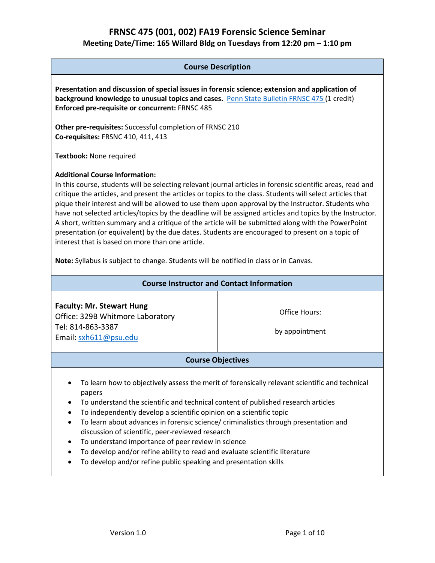# **Course Description Presentation and discussion of special issues in forensic science; extension and application of background knowledge to unusual topics and cases.** [Penn State Bulletin FRNSC 475](https://bulletins.psu.edu/search/?scontext=courses&search=frnsc+475) (1 credit) **Enforced pre-requisite or concurrent:** FRNSC 485 **Other pre-requisites:** Successful completion of FRNSC 210 **Co-requisites:** FRSNC 410, 411, 413 **Textbook:** None required **Additional Course Information:**  In this course, students will be selecting relevant journal articles in forensic scientific areas, read and critique the articles, and present the articles or topics to the class. Students will select articles that pique their interest and will be allowed to use them upon approval by the Instructor. Students who have not selected articles/topics by the deadline will be assigned articles and topics by the Instructor. A short, written summary and a critique of the article will be submitted along with the PowerPoint presentation (or equivalent) by the due dates. Students are encouraged to present on a topic of interest that is based on more than one article. **Note:** Syllabus is subject to change. Students will be notified in class or in Canvas. **Course Instructor and Contact Information Faculty: Mr. Stewart Hung** Office: 329B Whitmore Laboratory Tel: 814-863-3387 Email: [sxh611@psu.edu](mailto:sxh611@psu.edu) Office Hours: by appointment **Course Objectives** • To learn how to objectively assess the merit of forensically relevant scientific and technical papers • To understand the scientific and technical content of published research articles • To independently develop a scientific opinion on a scientific topic • To learn about advances in forensic science/ criminalistics through presentation and discussion of scientific, peer-reviewed research • To understand importance of peer review in science • To develop and/or refine ability to read and evaluate scientific literature

• To develop and/or refine public speaking and presentation skills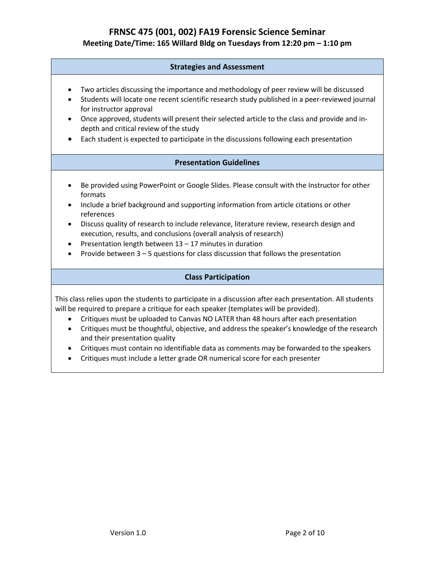### **Strategies and Assessment**

- Two articles discussing the importance and methodology of peer review will be discussed
- Students will locate one recent scientific research study published in a peer-reviewed journal for instructor approval
- Once approved, students will present their selected article to the class and provide and indepth and critical review of the study
- Each student is expected to participate in the discussions following each presentation

### **Presentation Guidelines**

- Be provided using PowerPoint or Google Slides. Please consult with the Instructor for other formats
- Include a brief background and supporting information from article citations or other references
- Discuss quality of research to include relevance, literature review, research design and execution, results, and conclusions (overall analysis of research)
- Presentation length between  $13 17$  minutes in duration
- Provide between 3 5 questions for class discussion that follows the presentation

#### **Class Participation**

This class relies upon the students to participate in a discussion after each presentation. All students will be required to prepare a critique for each speaker (templates will be provided).

- Critiques must be uploaded to Canvas NO LATER than 48 hours after each presentation
- Critiques must be thoughtful, objective, and address the speaker's knowledge of the research and their presentation quality
- Critiques must contain no identifiable data as comments may be forwarded to the speakers
- Critiques must include a letter grade OR numerical score for each presenter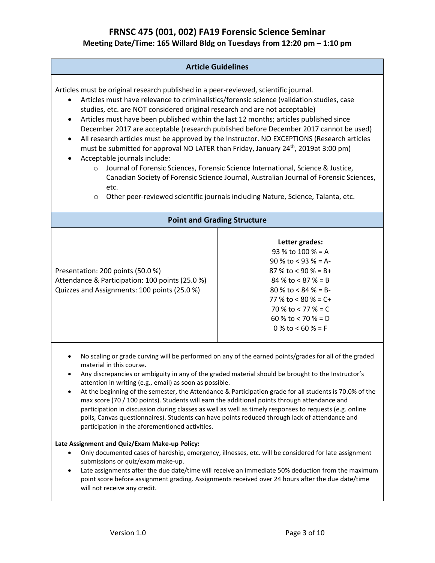#### **Article Guidelines**

Articles must be original research published in a peer-reviewed, scientific journal.

- Articles must have relevance to criminalistics/forensic science (validation studies, case studies, etc. are NOT considered original research and are not acceptable)
- Articles must have been published within the last 12 months; articles published since December 2017 are acceptable (research published before December 2017 cannot be used)
- All research articles must be approved by the Instructor. NO EXCEPTIONS (Research articles must be submitted for approval NO LATER than Friday, January  $24^{th}$ , 2019at 3:00 pm)
- Acceptable journals include:
	- o Journal of Forensic Sciences, Forensic Science International, Science & Justice, Canadian Society of Forensic Science Journal, Australian Journal of Forensic Sciences, etc.
	- o Other peer-reviewed scientific journals including Nature, Science, Talanta, etc.

#### **Point and Grading Structure**

Presentation: 200 points (50.0 %) Attendance & Participation: 100 points (25.0 %) Quizzes and Assignments: 100 points (25.0 %)

### **Letter grades:** 93 % to 100 % = A 90 % to < 93 % = A-87 % to  $<$  90 % = B+ 84 % to < 87 % = B 80 % to < 84 % = B-77 % to  $< 80$  % = C+ 70 % to < 77 % = C 60 % to  $<$  70 % = D 0 % to  $< 60$  % = F

- No scaling or grade curving will be performed on any of the earned points/grades for all of the graded material in this course.
- Any discrepancies or ambiguity in any of the graded material should be brought to the Instructor's attention in writing (e.g., email) as soon as possible.
- At the beginning of the semester, the Attendance & Participation grade for all students is 70.0% of the max score (70 / 100 points). Students will earn the additional points through attendance and participation in discussion during classes as well as well as timely responses to requests (e.g. online polls, Canvas questionnaires). Students can have points reduced through lack of attendance and participation in the aforementioned activities.

#### **Late Assignment and Quiz/Exam Make-up Policy:**

- Only documented cases of hardship, emergency, illnesses, etc. will be considered for late assignment submissions or quiz/exam make-up.
- Late assignments after the due date/time will receive an immediate 50% deduction from the maximum point score before assignment grading. Assignments received over 24 hours after the due date/time will not receive any credit.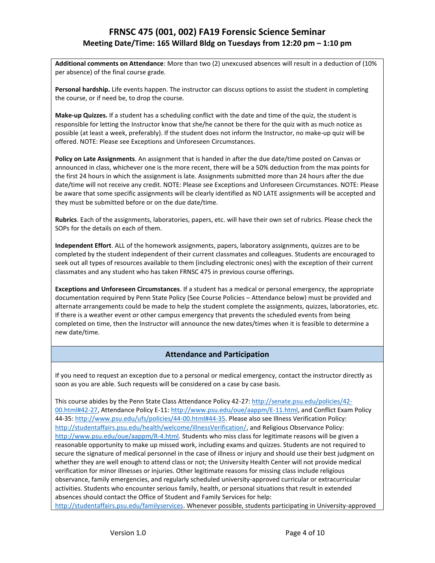**Additional comments on Attendance**: More than two (2) unexcused absences will result in a deduction of (10% per absence) of the final course grade.

**Personal hardship.** Life events happen. The instructor can discuss options to assist the student in completing the course, or if need be, to drop the course.

**Make-up Quizzes.** If a student has a scheduling conflict with the date and time of the quiz, the student is responsible for letting the Instructor know that she/he cannot be there for the quiz with as much notice as possible (at least a week, preferably). If the student does not inform the Instructor, no make-up quiz will be offered. NOTE: Please see Exceptions and Unforeseen Circumstances.

**Policy on Late Assignments**. An assignment that is handed in after the due date/time posted on Canvas or announced in class, whichever one is the more recent, there will be a 50% deduction from the max points for the first 24 hours in which the assignment is late. Assignments submitted more than 24 hours after the due date/time will not receive any credit. NOTE: Please see Exceptions and Unforeseen Circumstances. NOTE: Please be aware that some specific assignments will be clearly identified as NO LATE assignments will be accepted and they must be submitted before or on the due date/time.

**Rubrics**. Each of the assignments, laboratories, papers, etc. will have their own set of rubrics. Please check the SOPs for the details on each of them.

**Independent Effort**. ALL of the homework assignments, papers, laboratory assignments, quizzes are to be completed by the student independent of their current classmates and colleagues. Students are encouraged to seek out all types of resources available to them (including electronic ones) with the exception of their current classmates and any student who has taken FRNSC 475 in previous course offerings.

**Exceptions and Unforeseen Circumstances**. If a student has a medical or personal emergency, the appropriate documentation required by Penn State Policy (See Course Policies – Attendance below) must be provided and alternate arrangements could be made to help the student complete the assignments, quizzes, laboratories, etc. If there is a weather event or other campus emergency that prevents the scheduled events from being completed on time, then the Instructor will announce the new dates/times when it is feasible to determine a new date/time.

#### **Attendance and Participation**

If you need to request an exception due to a personal or medical emergency, contact the instructor directly as soon as you are able. Such requests will be considered on a case by case basis.

This course abides by the Penn State Class Attendance Policy 42-27: [http://senate.psu.edu/policies/42-](http://senate.psu.edu/policies/42-00.html#42-27) [00.html#42-27,](http://senate.psu.edu/policies/42-00.html#42-27) Attendance Policy E-11: [http://www.psu.edu/oue/aappm/E-11.html,](http://www.psu.edu/oue/aappm/E-11.html) and Conflict Exam Policy 44-35: [http://www.psu.edu/ufs/policies/44-00.html#44-35.](http://www.psu.edu/ufs/policies/44-00.html#44-35) Please also see Illness Verification Policy: [http://studentaffairs.psu.edu/health/welcome/illnessVerification/,](http://studentaffairs.psu.edu/health/welcome/illnessVerification/) and Religious Observance Policy: [http://www.psu.edu/oue/aappm/R-4.html.](http://www.psu.edu/oue/aappm/R-4.html) Students who miss class for legitimate reasons will be given a reasonable opportunity to make up missed work, including exams and quizzes. Students are not required to secure the signature of medical personnel in the case of illness or injury and should use their best judgment on whether they are well enough to attend class or not; the University Health Center will not provide medical verification for minor illnesses or injuries. Other legitimate reasons for missing class include religious observance, family emergencies, and regularly scheduled university-approved curricular or extracurricular activities. Students who encounter serious family, health, or personal situations that result in extended absences should contact the Office of Student and Family Services for help: [http://studentaffairs.psu.edu/familyservices.](http://studentaffairs.psu.edu/familyservices) Whenever possible, students participating in University-approved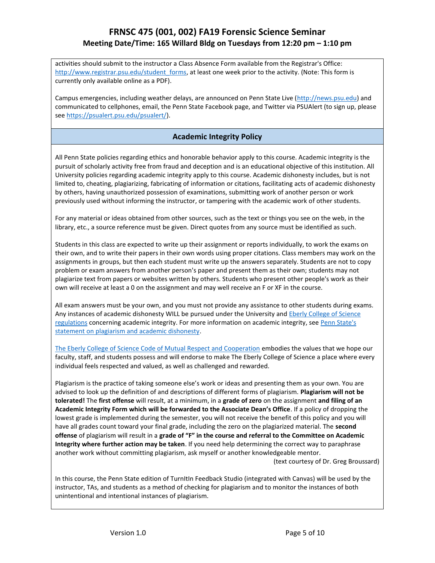activities should submit to the instructor a Class Absence Form available from the Registrar's Office: [http://www.registrar.psu.edu/student\\_forms,](http://www.registrar.psu.edu/student_forms) at least one week prior to the activity. (Note: This form is currently only available online as a PDF).

Campus emergencies, including weather delays, are announced on Penn State Live [\(http://news.psu.edu\)](http://news.psu.edu/) and communicated to cellphones, email, the Penn State Facebook page, and Twitter via PSUAlert (to sign up, please see [https://psualert.psu.edu/psualert/\)](https://psualert.psu.edu/psualert/).

#### **Academic Integrity Policy**

All Penn State policies regarding ethics and honorable behavior apply to this course. Academic integrity is the pursuit of scholarly activity free from fraud and deception and is an educational objective of this institution. All University policies regarding academic integrity apply to this course. Academic dishonesty includes, but is not limited to, cheating, plagiarizing, fabricating of information or citations, facilitating acts of academic dishonesty by others, having unauthorized possession of examinations, submitting work of another person or work previously used without informing the instructor, or tampering with the academic work of other students.

For any material or ideas obtained from other sources, such as the text or things you see on the web, in the library, etc., a source reference must be given. Direct quotes from any source must be identified as such.

Students in this class are expected to write up their assignment or reports individually, to work the exams on their own, and to write their papers in their own words using proper citations. Class members may work on the assignments in groups, but then each student must write up the answers separately. Students are not to copy problem or exam answers from another person's paper and present them as their own; students may not plagiarize text from papers or websites written by others. Students who present other people's work as their own will receive at least a 0 on the assignment and may well receive an F or XF in the course.

All exam answers must be your own, and you must not provide any assistance to other students during exams. Any instances of academic dishonesty WILL be pursued under the University and [Eberly College of Science](http://www.science.psu.edu/academic/Integrity/index.html)  [regulations](http://www.science.psu.edu/academic/Integrity/index.html) concerning academic integrity. For more information on academic integrity, see [Penn State's](http://tlt.its.psu.edu/suggestions/cyberplag/cyberplagstudent.html)  [statement on plagiarism and academic dishonesty.](http://tlt.its.psu.edu/suggestions/cyberplag/cyberplagstudent.html)

[The Eberly College of Science Code of Mutual Respect and Cooperation](http://science.psu.edu/climate/code-of-mutual-respect-and-cooperation/Code-of-Mutual-Respect%20final.pdf/view) embodies the values that we hope our faculty, staff, and students possess and will endorse to make The Eberly College of Science a place where every individual feels respected and valued, as well as challenged and rewarded.

Plagiarism is the practice of taking someone else's work or ideas and presenting them as your own. You are advised to look up the definition of and descriptions of different forms of plagiarism. **Plagiarism will not be tolerated!** The **first offense** will result, at a minimum, in a **grade of zero** on the assignment **and filing of an Academic Integrity Form which will be forwarded to the Associate Dean's Office**. If a policy of dropping the lowest grade is implemented during the semester, you will not receive the benefit of this policy and you will have all grades count toward your final grade, including the zero on the plagiarized material. The **second offense** of plagiarism will result in a **grade of "F" in the course and referral to the Committee on Academic Integrity where further action may be taken**. If you need help determining the correct way to paraphrase another work without committing plagiarism, ask myself or another knowledgeable mentor.

(text courtesy of Dr. Greg Broussard)

In this course, the Penn State edition of TurnItIn Feedback Studio (integrated with Canvas) will be used by the instructor, TAs, and students as a method of checking for plagiarism and to monitor the instances of both unintentional and intentional instances of plagiarism.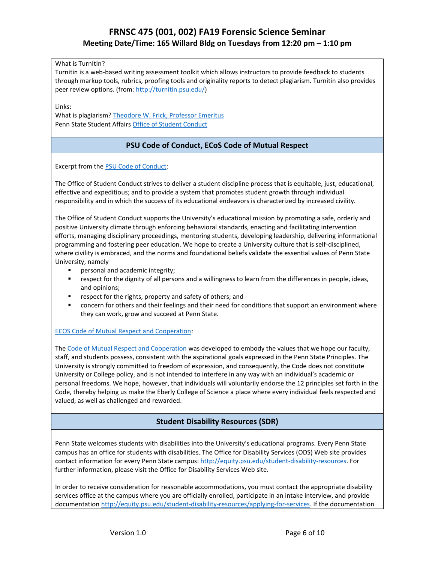What is TurnItIn?

Turnitin is a web-based writing assessment toolkit which allows instructors to provide feedback to students through markup tools, rubrics, proofing tools and originality reports to detect plagiarism. Turnitin also provides peer review options. (from: [http://turnitin.psu.edu/\)](http://turnitin.psu.edu/)

Links:

What is plagiarism? [Theodore W. Frick, Professor Emeritus](https://www.indiana.edu/~tedfrick/plagiarism/) Penn State Student Affairs [Office of Student Conduct](https://studentaffairs.psu.edu/conduct/AcademicIntegrity.shtml)

### **PSU Code of Conduct, ECoS Code of Mutual Respect**

Excerpt from the [PSU Code of Conduct:](http://studentaffairs.psu.edu/conduct/Procedures.shtml#I)

The Office of Student Conduct strives to deliver a student discipline process that is equitable, just, educational, effective and expeditious; and to provide a system that promotes student growth through individual responsibility and in which the success of its educational endeavors is characterized by increased civility.

The Office of Student Conduct supports the University's educational mission by promoting a safe, orderly and positive University climate through enforcing behavioral standards, enacting and facilitating intervention efforts, managing disciplinary proceedings, mentoring students, developing leadership, delivering informational programming and fostering peer education. We hope to create a University culture that is self-disciplined, where civility is embraced, and the norms and foundational beliefs validate the essential values of Penn State University, namely

- personal and academic integrity;
- respect for the dignity of all persons and a willingness to learn from the differences in people, ideas, and opinions;
- respect for the rights, property and safety of others; and
- concern for others and their feelings and their need for conditions that support an environment where they can work, grow and succeed at Penn State.

#### [ECOS Code of Mutual Respect and Cooperation:](http://science.psu.edu/climate/code-of-mutual-respect-and-cooperation)

The [Code of Mutual Respect and Cooperation](http://science.psu.edu/climate/Code-of-Mutual-Respect%20final.pdf) was developed to embody the values that we hope our faculty, staff, and students possess, consistent with the aspirational goals expressed in the Penn State Principles. The University is strongly committed to freedom of expression, and consequently, the Code does not constitute University or College policy, and is not intended to interfere in any way with an individual's academic or personal freedoms. We hope, however, that individuals will voluntarily endorse the 12 principles set forth in the Code, thereby helping us make the Eberly College of Science a place where every individual feels respected and valued, as well as challenged and rewarded.

### **Student Disability Resources (SDR)**

Penn State welcomes students with disabilities into the University's educational programs. Every Penn State campus has an office for students with disabilities. The Office for Disability Services (ODS) Web site provides contact information for every Penn State campus[: http://equity.psu.edu/student-disability-resources.](http://equity.psu.edu/student-disability-resources) For further information, please visit the Office for Disability Services Web site.

In order to receive consideration for reasonable accommodations, you must contact the appropriate disability services office at the campus where you are officially enrolled, participate in an intake interview, and provide documentatio[n http://equity.psu.edu/student-disability-resources/applying-for-services.](http://equity.psu.edu/student-disability-resources/applying-for-services) If the documentation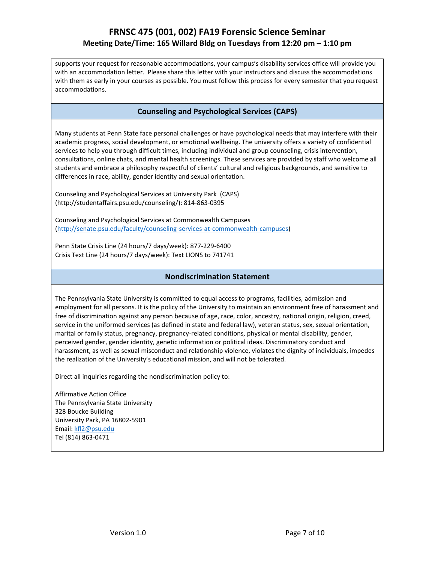supports your request for reasonable accommodations, your campus's disability services office will provide you with an accommodation letter. Please share this letter with your instructors and discuss the accommodations with them as early in your courses as possible. You must follow this process for every semester that you request accommodations.

### **Counseling and Psychological Services (CAPS)**

Many students at Penn State face personal challenges or have psychological needs that may interfere with their academic progress, social development, or emotional wellbeing. The university offers a variety of confidential services to help you through difficult times, including individual and group counseling, crisis intervention, consultations, online chats, and mental health screenings. These services are provided by staff who welcome all students and embrace a philosophy respectful of clients' cultural and religious backgrounds, and sensitive to differences in race, ability, gender identity and sexual orientation.

Counseling and Psychological Services at University Park (CAPS) (http://studentaffairs.psu.edu/counseling/): 814-863-0395

Counseling and Psychological Services at Commonwealth Campuses [\(http://senate.psu.edu/faculty/counseling-services-at-commonwealth-campuses\)](http://senate.psu.edu/faculty/counseling-services-at-commonwealth-campuses)

Penn State Crisis Line (24 hours/7 days/week): 877-229-6400 Crisis Text Line (24 hours/7 days/week): Text LIONS to 741741

#### **Nondiscrimination Statement**

The Pennsylvania State University is committed to equal access to programs, facilities, admission and employment for all persons. It is the policy of the University to maintain an environment free of harassment and free of discrimination against any person because of age, race, color, ancestry, national origin, religion, creed, service in the uniformed services (as defined in state and federal law), veteran status, sex, sexual orientation, marital or family status, pregnancy, pregnancy-related conditions, physical or mental disability, gender, perceived gender, gender identity, genetic information or political ideas. Discriminatory conduct and harassment, as well as sexual misconduct and relationship violence, violates the dignity of individuals, impedes the realization of the University's educational mission, and will not be tolerated.

Direct all inquiries regarding the nondiscrimination policy to:

Affirmative Action Office The Pennsylvania State University 328 Boucke Building University Park, PA 16802-5901 Email: [kfl2@psu.edu](mailto:kfl2@psu.edu) Tel (814) 863-0471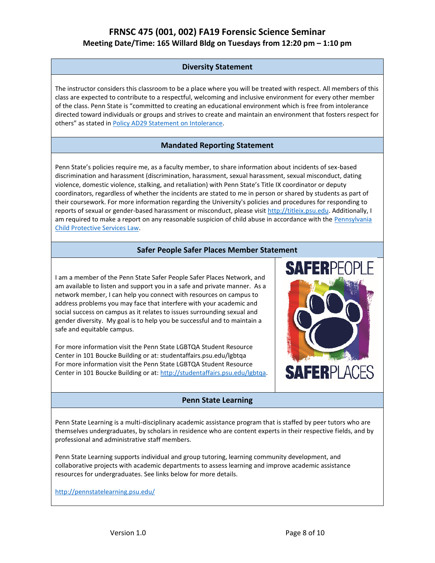### **Diversity Statement**

The instructor considers this classroom to be a place where you will be treated with respect. All members of this class are expected to contribute to a respectful, welcoming and inclusive environment for every other member of the class. Penn State is "committed to creating an educational environment which is free from intolerance directed toward individuals or groups and strives to create and maintain an environment that fosters respect for others" as stated in [Policy AD29 Statement on Intolerance.](http://guru.psu.edu/policies/AD29.html)

### **Mandated Reporting Statement**

Penn State's policies require me, as a faculty member, to share information about incidents of sex-based discrimination and harassment (discrimination, harassment, sexual harassment, sexual misconduct, dating violence, domestic violence, stalking, and retaliation) with Penn State's Title IX coordinator or deputy coordinators, regardless of whether the incidents are stated to me in person or shared by students as part of their coursework. For more information regarding the University's policies and procedures for responding to reports of sexual or gender-based harassment or misconduct, please visit [http://titleix.psu.edu.](http://titleix.psu.edu/) Additionally, I am required to make a report on any reasonable suspicion of child abuse in accordance with the Pennsylvania [Child Protective Services Law.](http://www.legis.state.pa.us/WU01/LI/LI/CT/HTM/23/00.063..HTM)

### **Safer People Safer Places Member Statement**

I am a member of the Penn State Safer People Safer Places Network, and am available to listen and support you in a safe and private manner. As a network member, I can help you connect with resources on campus to address problems you may face that interfere with your academic and social success on campus as it relates to issues surrounding sexual and gender diversity. My goal is to help you be successful and to maintain a safe and equitable campus.

For more information visit the Penn State LGBTQA Student Resource Center in 101 Boucke Building or at: studentaffairs.psu.edu/lgbtqa For more information visit the Penn State LGBTQA Student Resource Center in 101 Boucke Building or at[: http://studentaffairs.psu.edu/lgbtqa.](http://studentaffairs.psu.edu/lgbtqa)

#### **Penn State Learning**

Penn State Learning is a multi-disciplinary academic assistance program that is staffed by peer tutors who are themselves undergraduates, by scholars in residence who are content experts in their respective fields, and by professional and administrative staff members.

Penn State Learning supports individual and group tutoring, learning community development, and collaborative projects with academic departments to assess learning and improve academic assistance resources for undergraduates. See links below for more details.

<http://pennstatelearning.psu.edu/>

**SAFERPLACES** 

**SAFERPFO**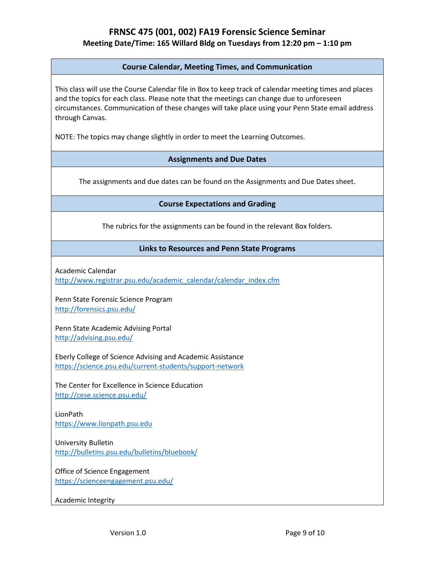#### **Course Calendar, Meeting Times, and Communication**

This class will use the Course Calendar file in Box to keep track of calendar meeting times and places and the topics for each class. Please note that the meetings can change due to unforeseen circumstances. Communication of these changes will take place using your Penn State email address through Canvas.

NOTE: The topics may change slightly in order to meet the Learning Outcomes.

#### **Assignments and Due Dates**

The assignments and due dates can be found on the Assignments and Due Dates sheet.

#### **Course Expectations and Grading**

The rubrics for the assignments can be found in the relevant Box folders.

#### **Links to Resources and Penn State Programs**

Academic Calendar

[http://www.registrar.psu.edu/academic\\_calendar/calendar\\_index.cfm](http://www.registrar.psu.edu/academic_calendar/calendar_index.cfm)

Penn State Forensic Science Program <http://forensics.psu.edu/>

Penn State Academic Advising Portal <http://advising.psu.edu/>

Eberly College of Science Advising and Academic Assistance <https://science.psu.edu/current-students/support-network>

The Center for Excellence in Science Education <http://cese.science.psu.edu/>

LionPath [https://www.lionpath.psu.edu](https://www.lionpath.psu.edu/)

University Bulletin <http://bulletins.psu.edu/bulletins/bluebook/>

Office of Science Engagement <https://scienceengagement.psu.edu/>

Academic Integrity